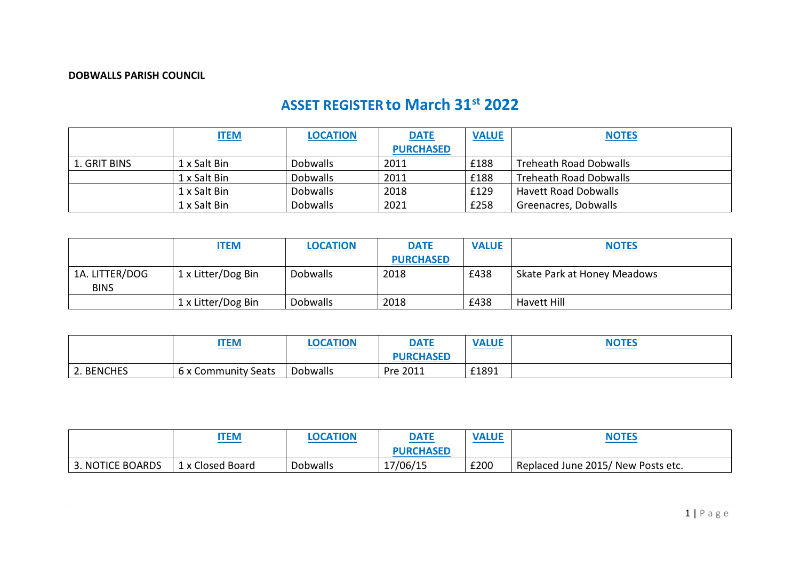## **DOBWALLS PARISH COUNCIL**

## **ASSET REGISTER to March 31st 2022**

|              | <b>ITEM</b>  | <b>LOCATION</b> | <b>DATE</b>      | <b>VALUE</b> | <b>NOTES</b>                |
|--------------|--------------|-----------------|------------------|--------------|-----------------------------|
|              |              |                 | <b>PURCHASED</b> |              |                             |
| 1. GRIT BINS | 1 x Salt Bin | <b>Dobwalls</b> | 2011             | £188         | Treheath Road Dobwalls      |
|              | 1 x Salt Bin | <b>Dobwalls</b> | 2011             | £188         | Treheath Road Dobwalls      |
|              | 1 x Salt Bin | <b>Dobwalls</b> | 2018             | £129         | <b>Havett Road Dobwalls</b> |
|              | 1 x Salt Bin | <b>Dobwalls</b> | 2021             | £258         | Greenacres, Dobwalls        |

|                               | <b>ITEM</b>        | <b>LOCATION</b> | <b>DATE</b>      | <b>VALUE</b> | <b>NOTES</b>                |
|-------------------------------|--------------------|-----------------|------------------|--------------|-----------------------------|
|                               |                    |                 | <b>PURCHASED</b> |              |                             |
| 1A. LITTER/DOG<br><b>BINS</b> | 1 x Litter/Dog Bin | <b>Dobwalls</b> | 2018             | £438         | Skate Park at Honey Meadows |
|                               | 1 x Litter/Dog Bin | <b>Dobwalls</b> | 2018             | £438         | Havett Hill                 |

|            | <b>ITEM</b>         | <b>OCATION</b> | <b>DATE</b>      | <b>VALUE</b> | <b>NOTES</b> |
|------------|---------------------|----------------|------------------|--------------|--------------|
|            |                     |                | <b>PURCHASED</b> |              |              |
| 2. BENCHES | 6 x Community Seats | Dobwalls       | Pre 2011         | £1891        |              |

|                  | <b>ITEM</b>      | <b>LOCATION</b> | <b>DATE</b><br><b>Contract Contract Contract</b> | <b>VALUE</b> | <b>NOTES</b>                       |
|------------------|------------------|-----------------|--------------------------------------------------|--------------|------------------------------------|
|                  |                  |                 | <b>PURCHASED</b>                                 |              |                                    |
| 3. NOTICE BOARDS | 1 x Closed Board | <b>Dobwalls</b> | 17/06/15                                         | £200         | Replaced June 2015/ New Posts etc. |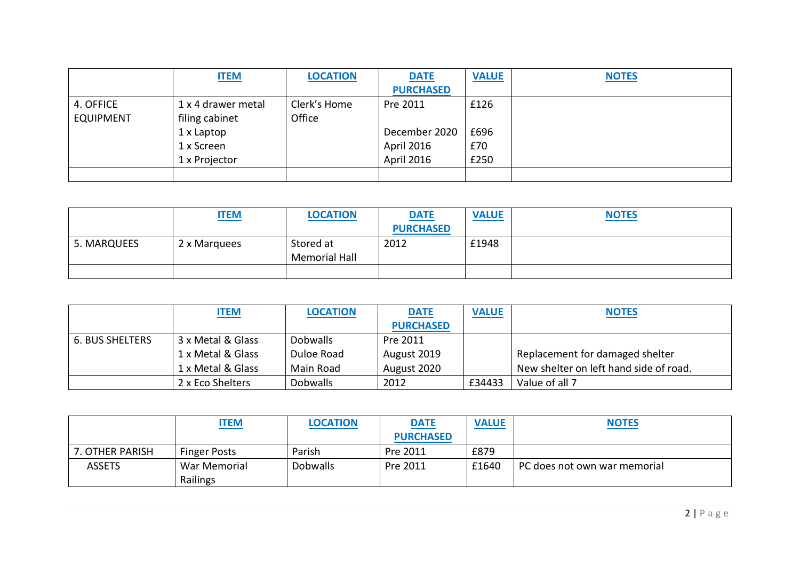|                  | <b>ITEM</b>        | <b>LOCATION</b> | <b>DATE</b>      | <b>VALUE</b> | <b>NOTES</b> |
|------------------|--------------------|-----------------|------------------|--------------|--------------|
|                  |                    |                 | <b>PURCHASED</b> |              |              |
| 4. OFFICE        | 1 x 4 drawer metal | Clerk's Home    | Pre 2011         | £126         |              |
| <b>EQUIPMENT</b> | filing cabinet     | Office          |                  |              |              |
|                  | 1 x Laptop         |                 | December 2020    | £696         |              |
|                  | 1 x Screen         |                 | April 2016       | £70          |              |
|                  | 1 x Projector      |                 | April 2016       | £250         |              |
|                  |                    |                 |                  |              |              |

|             | <b>ITEM</b>  | <b>LOCATION</b>                   | <b>DATE</b>      | <b>VALUE</b> | <b>NOTES</b> |
|-------------|--------------|-----------------------------------|------------------|--------------|--------------|
|             |              |                                   | <b>PURCHASED</b> |              |              |
| 5. MARQUEES | 2 x Marquees | Stored at<br><b>Memorial Hall</b> | 2012             | £1948        |              |
|             |              |                                   |                  |              |              |

|                        | <b>ITEM</b>       | <b>LOCATION</b> | <b>DATE</b>      | <b>VALUE</b> | <b>NOTES</b>                           |
|------------------------|-------------------|-----------------|------------------|--------------|----------------------------------------|
|                        |                   |                 | <b>PURCHASED</b> |              |                                        |
| <b>6. BUS SHELTERS</b> | 3 x Metal & Glass | <b>Dobwalls</b> | Pre 2011         |              |                                        |
|                        | 1 x Metal & Glass | Duloe Road      | August 2019      |              | Replacement for damaged shelter        |
|                        | 1 x Metal & Glass | Main Road       | August 2020      |              | New shelter on left hand side of road. |
|                        | 2 x Eco Shelters  | <b>Dobwalls</b> | 2012             | £34433       | Value of all 7                         |

|                 | <u>ITEM</u>              | <b>LOCATION</b> | <b>DATE</b><br><b>PURCHASED</b> | <b>VALUE</b> | <b>NOTES</b>                 |
|-----------------|--------------------------|-----------------|---------------------------------|--------------|------------------------------|
| 7. OTHER PARISH | <b>Finger Posts</b>      | Parish          | Pre 2011                        | £879         |                              |
| <b>ASSETS</b>   | War Memorial<br>Railings | <b>Dobwalls</b> | Pre 2011                        | £1640        | PC does not own war memorial |